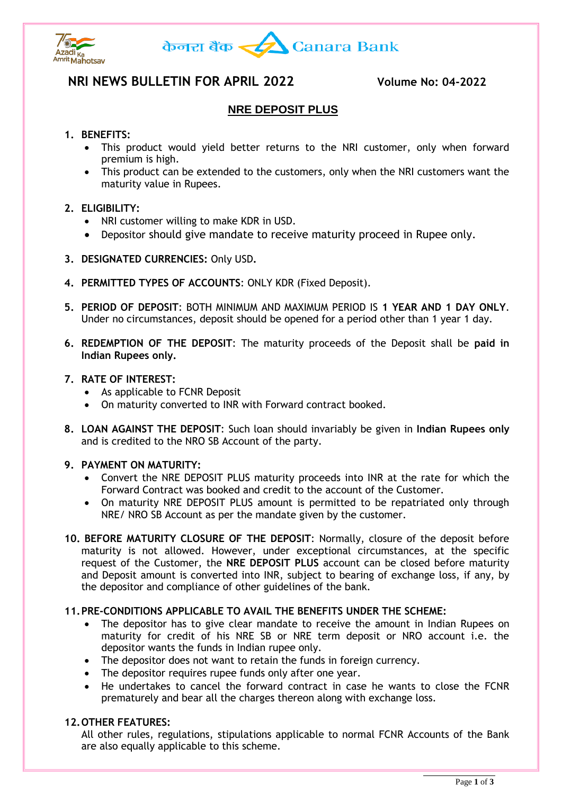



# **NRI NEWS BULLETIN FOR APRIL 2022 Volume No: 04-2022**

# **NRE DEPOSIT PLUS**

# **1. BENEFITS:**

- This product would yield better returns to the NRI customer, only when forward premium is high.
- This product can be extended to the customers, only when the NRI customers want the maturity value in Rupees.

# **2. ELIGIBILITY:**

- NRI customer willing to make KDR in USD.
- Depositor should give mandate to receive maturity proceed in Rupee only.
- **3. DESIGNATED CURRENCIES:** Only USD**.**
- **4. PERMITTED TYPES OF ACCOUNTS**: ONLY KDR (Fixed Deposit).
- **5. PERIOD OF DEPOSIT**: BOTH MINIMUM AND MAXIMUM PERIOD IS **1 YEAR AND 1 DAY ONLY**. Under no circumstances, deposit should be opened for a period other than 1 year 1 day.
- **6. REDEMPTION OF THE DEPOSIT**: The maturity proceeds of the Deposit shall be **paid in Indian Rupees only.**

# **7. RATE OF INTEREST:**

- As applicable to FCNR Deposit
- On maturity converted to INR with Forward contract booked.
- **8. LOAN AGAINST THE DEPOSIT**: Such loan should invariably be given in **Indian Rupees only**  and is credited to the NRO SB Account of the party.

#### **9. PAYMENT ON MATURITY:**

- Convert the NRE DEPOSIT PLUS maturity proceeds into INR at the rate for which the Forward Contract was booked and credit to the account of the Customer.
- On maturity NRE DEPOSIT PLUS amount is permitted to be repatriated only through NRE/ NRO SB Account as per the mandate given by the customer.
- **10. BEFORE MATURITY CLOSURE OF THE DEPOSIT**: Normally, closure of the deposit before maturity is not allowed. However, under exceptional circumstances, at the specific request of the Customer, the **NRE DEPOSIT PLUS** account can be closed before maturity and Deposit amount is converted into INR, subject to bearing of exchange loss, if any, by the depositor and compliance of other guidelines of the bank.

#### **11.PRE-CONDITIONS APPLICABLE TO AVAIL THE BENEFITS UNDER THE SCHEME:**

- The depositor has to give clear mandate to receive the amount in Indian Rupees on maturity for credit of his NRE SB or NRE term deposit or NRO account i.e. the depositor wants the funds in Indian rupee only.
- The depositor does not want to retain the funds in foreign currency.
- The depositor requires rupee funds only after one year.
- He undertakes to cancel the forward contract in case he wants to close the FCNR prematurely and bear all the charges thereon along with exchange loss.

#### **12.OTHER FEATURES:**

All other rules, regulations, stipulations applicable to normal FCNR Accounts of the Bank are also equally applicable to this scheme.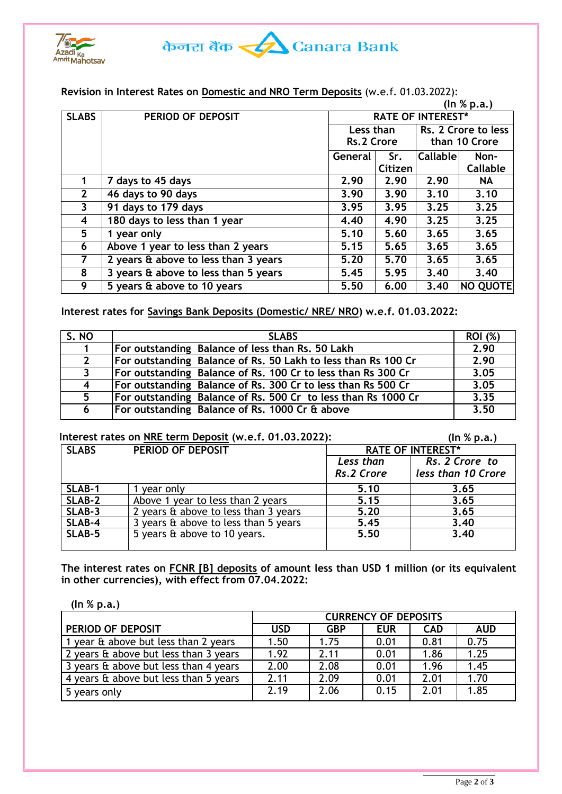



### **Revision in Interest Rates on Domestic and NRO Term Deposits** (w.e.f. 01.03.2022):

|              |                                      |                          |         |                     | (ln % p.a.) |
|--------------|--------------------------------------|--------------------------|---------|---------------------|-------------|
| <b>SLABS</b> | PERIOD OF DEPOSIT                    | <b>RATE OF INTEREST*</b> |         |                     |             |
|              |                                      | Less than                |         | Rs. 2 Crore to less |             |
|              |                                      | Rs.2 Crore               |         | than 10 Crore       |             |
|              |                                      | <b>General</b>           | Sr.     | <b>Callable</b>     | Non-        |
|              |                                      |                          | Citizen |                     | Callable    |
|              | 7 days to 45 days                    | 2.90                     | 2.90    | 2.90                | <b>NA</b>   |
| $\mathbf{2}$ | 46 days to 90 days                   | 3.90                     | 3.90    | 3.10                | 3.10        |
| 3            | 91 days to 179 days                  | 3.95                     | 3.95    | 3.25                | 3.25        |
| 4            | 180 days to less than 1 year         | 4.40                     | 4.90    | 3.25                | 3.25        |
| 5            | 1 year only                          | 5.10                     | 5.60    | 3.65                | 3.65        |
| 6            | Above 1 year to less than 2 years    | 5.15                     | 5.65    | 3.65                | 3.65        |
| 7            | 2 years & above to less than 3 years | 5.20                     | 5.70    | 3.65                | 3.65        |
| 8            | 3 years & above to less than 5 years | 5.45                     | 5.95    | 3.40                | 3.40        |
| 9            | 5 years & above to 10 years          | 5.50                     | 6.00    | 3,40                | NO QUOTE    |

# **Interest rates for Savings Bank Deposits (Domestic/ NRE/ NRO) w.e.f. 01.03.2022:**

| S. NO          | <b>SLABS</b>                                                  | <b>ROI</b> (%) |
|----------------|---------------------------------------------------------------|----------------|
| $\mathbf 1$    | For outstanding Balance of less than Rs. 50 Lakh              | 2.90           |
| $\mathbf{2}$   | For outstanding Balance of Rs. 50 Lakh to less than Rs 100 Cr | 2.90           |
| $\mathbf{3}$   | For outstanding Balance of Rs. 100 Cr to less than Rs 300 Cr  | 3.05           |
| $\overline{4}$ | For outstanding Balance of Rs. 300 Cr to less than Rs 500 Cr  | 3.05           |
| 5 <sup>1</sup> | For outstanding Balance of Rs. 500 Cr to less than Rs 1000 Cr | 3.35           |
| 6              | For outstanding Balance of Rs. 1000 Cr & above                | 3.50           |

### **Interest rates on NRE term Deposit (w.e.f. 01.03.2022): (In % p.a.)**

| <b>SLABS</b> | PERIOD OF DEPOSIT                    | <b>RATE OF INTEREST*</b> |                    |  |  |
|--------------|--------------------------------------|--------------------------|--------------------|--|--|
|              |                                      | Less than                | Rs. 2 Crore to     |  |  |
|              |                                      | Rs.2 Crore               | less than 10 Crore |  |  |
| SLAB-1       | vear onlv                            | 5.10                     | 3.65               |  |  |
| SLAB-2       | Above 1 year to less than 2 years    | 5.15                     | 3.65               |  |  |
| SLAB-3       | 2 years & above to less than 3 years | 5.20                     | 3.65               |  |  |
| SLAB-4       | 3 years & above to less than 5 years | 5.45                     | 3.40               |  |  |
| SLAB-5       | 5 years & above to 10 years.         | 5.50                     | 3.40               |  |  |
|              |                                      |                          |                    |  |  |

**The interest rates on FCNR [B] deposits of amount less than USD 1 million (or its equivalent in other currencies), with effect from 07.04.2022:** 

| (ln % p.a.)                           |                             |            |            |            |            |  |  |
|---------------------------------------|-----------------------------|------------|------------|------------|------------|--|--|
|                                       | <b>CURRENCY OF DEPOSITS</b> |            |            |            |            |  |  |
| PERIOD OF DEPOSIT                     | <b>USD</b>                  | <b>GBP</b> | <b>EUR</b> | <b>CAD</b> | <b>AUD</b> |  |  |
| 1 year & above but less than 2 years  | 1.50                        | 1.75       | 0.01       | 0.81       | 0.75       |  |  |
| 2 years & above but less than 3 years | 1.92                        | 2.11       | 0.01       | 1.86       | 1.25       |  |  |
| 3 years & above but less than 4 years | 2.00                        | 2.08       | 0.01       | 1.96       | 1.45       |  |  |
| 4 years & above but less than 5 years | 2.11                        | 2.09       | 0.01       | 2.01       | 1.70       |  |  |
| 5 years only                          | 2.19                        | 2.06       | 0.15       | 2.01       | 1.85       |  |  |